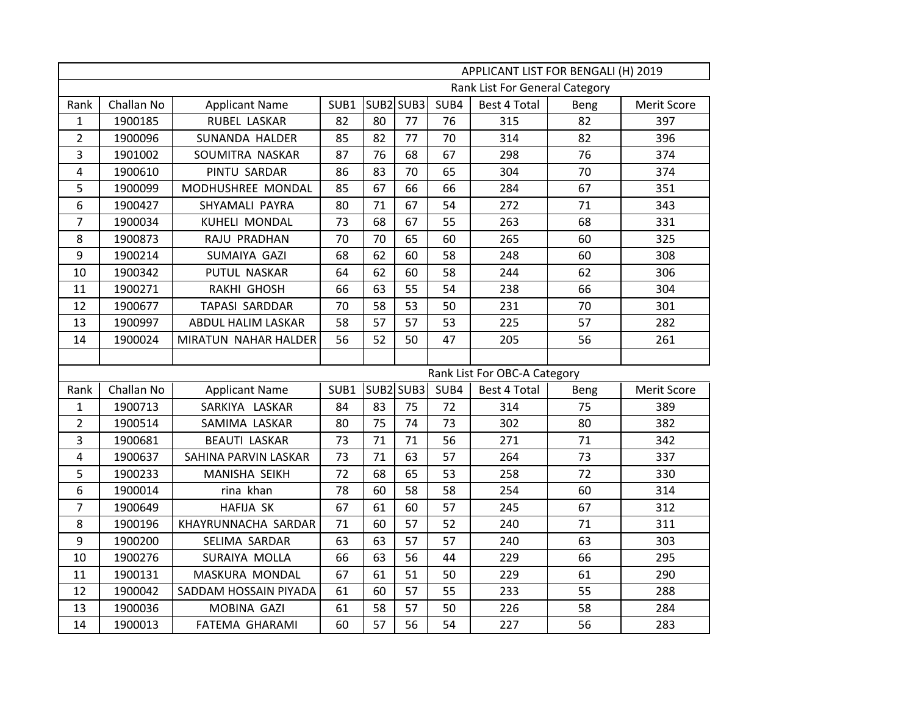|                | APPLICANT LIST FOR BENGALI (H) 2019 |                       |      |    |                  |      |                              |      |             |  |  |  |  |
|----------------|-------------------------------------|-----------------------|------|----|------------------|------|------------------------------|------|-------------|--|--|--|--|
|                | Rank List For General Category      |                       |      |    |                  |      |                              |      |             |  |  |  |  |
| Rank           | Challan No                          | <b>Applicant Name</b> | SUB1 |    | <b>SUB2 SUB3</b> | SUB4 | Best 4 Total                 | Beng | Merit Score |  |  |  |  |
| $\mathbf{1}$   | 1900185                             | RUBEL LASKAR          | 82   | 80 | 77               | 76   | 315                          | 82   | 397         |  |  |  |  |
| $\overline{2}$ | 1900096                             | SUNANDA HALDER        | 85   | 82 | 77               | 70   | 314                          | 82   | 396         |  |  |  |  |
| 3              | 1901002                             | SOUMITRA NASKAR       | 87   | 76 | 68               | 67   | 298                          | 76   | 374         |  |  |  |  |
| 4              | 1900610                             | PINTU SARDAR          | 86   | 83 | 70               | 65   | 304                          | 70   | 374         |  |  |  |  |
| 5              | 1900099                             | MODHUSHREE MONDAL     | 85   | 67 | 66               | 66   | 284                          | 67   | 351         |  |  |  |  |
| 6              | 1900427                             | SHYAMALI PAYRA        | 80   | 71 | 67               | 54   | 272                          | 71   | 343         |  |  |  |  |
| $\overline{7}$ | 1900034                             | <b>KUHELI MONDAL</b>  | 73   | 68 | 67               | 55   | 263                          | 68   | 331         |  |  |  |  |
| $\,8\,$        | 1900873                             | RAJU PRADHAN          | 70   | 70 | 65               | 60   | 265                          | 60   | 325         |  |  |  |  |
| 9              | 1900214                             | SUMAIYA GAZI          | 68   | 62 | 60               | 58   | 248                          | 60   | 308         |  |  |  |  |
| 10             | 1900342                             | PUTUL NASKAR          | 64   | 62 | 60               | 58   | 244                          | 62   | 306         |  |  |  |  |
| 11             | 1900271                             | RAKHI GHOSH           | 66   | 63 | 55               | 54   | 238                          | 66   | 304         |  |  |  |  |
| 12             | 1900677                             | <b>TAPASI SARDDAR</b> | 70   | 58 | 53               | 50   | 231                          | 70   | 301         |  |  |  |  |
| 13             | 1900997                             | ABDUL HALIM LASKAR    | 58   | 57 | 57               | 53   | 225                          | 57   | 282         |  |  |  |  |
| 14             | 1900024                             | MIRATUN NAHAR HALDER  | 56   | 52 | 50               | 47   | 205                          | 56   | 261         |  |  |  |  |
|                |                                     |                       |      |    |                  |      |                              |      |             |  |  |  |  |
|                |                                     |                       |      |    |                  |      | Rank List For OBC-A Category |      |             |  |  |  |  |
| Rank           | Challan No                          | <b>Applicant Name</b> | SUB1 |    | SUB2 SUB3        | SUB4 | Best 4 Total                 | Beng | Merit Score |  |  |  |  |
| $\mathbf{1}$   | 1900713                             | SARKIYA LASKAR        | 84   | 83 | 75               | 72   | 314                          | 75   | 389         |  |  |  |  |
| $\overline{2}$ | 1900514                             | SAMIMA LASKAR         | 80   | 75 | 74               | 73   | 302                          | 80   | 382         |  |  |  |  |
| 3              | 1900681                             | <b>BEAUTI LASKAR</b>  | 73   | 71 | 71               | 56   | 271                          | 71   | 342         |  |  |  |  |
| 4              | 1900637                             | SAHINA PARVIN LASKAR  | 73   | 71 | 63               | 57   | 264                          | 73   | 337         |  |  |  |  |
| 5              | 1900233                             | MANISHA SEIKH         | 72   | 68 | 65               | 53   | 258                          | 72   | 330         |  |  |  |  |
| 6              | 1900014                             | rina khan             | 78   | 60 | 58               | 58   | 254                          | 60   | 314         |  |  |  |  |
| $\overline{7}$ | 1900649                             | <b>HAFIJA SK</b>      | 67   | 61 | 60               | 57   | 245                          | 67   | 312         |  |  |  |  |
| 8              | 1900196                             | KHAYRUNNACHA SARDAR   | 71   | 60 | 57               | 52   | 240                          | 71   | 311         |  |  |  |  |
| $9\,$          | 1900200                             | SELIMA SARDAR         | 63   | 63 | 57               | 57   | 240                          | 63   | 303         |  |  |  |  |
| 10             | 1900276                             | SURAIYA MOLLA         | 66   | 63 | 56               | 44   | 229                          | 66   | 295         |  |  |  |  |
| 11             | 1900131                             | MASKURA MONDAL        | 67   | 61 | 51               | 50   | 229                          | 61   | 290         |  |  |  |  |
| 12             | 1900042                             | SADDAM HOSSAIN PIYADA | 61   | 60 | 57               | 55   | 233                          | 55   | 288         |  |  |  |  |
| 13             | 1900036                             | MOBINA GAZI           | 61   | 58 | 57               | 50   | 226                          | 58   | 284         |  |  |  |  |
| 14             | 1900013                             | <b>FATEMA GHARAMI</b> | 60   | 57 | 56               | 54   | 227                          | 56   | 283         |  |  |  |  |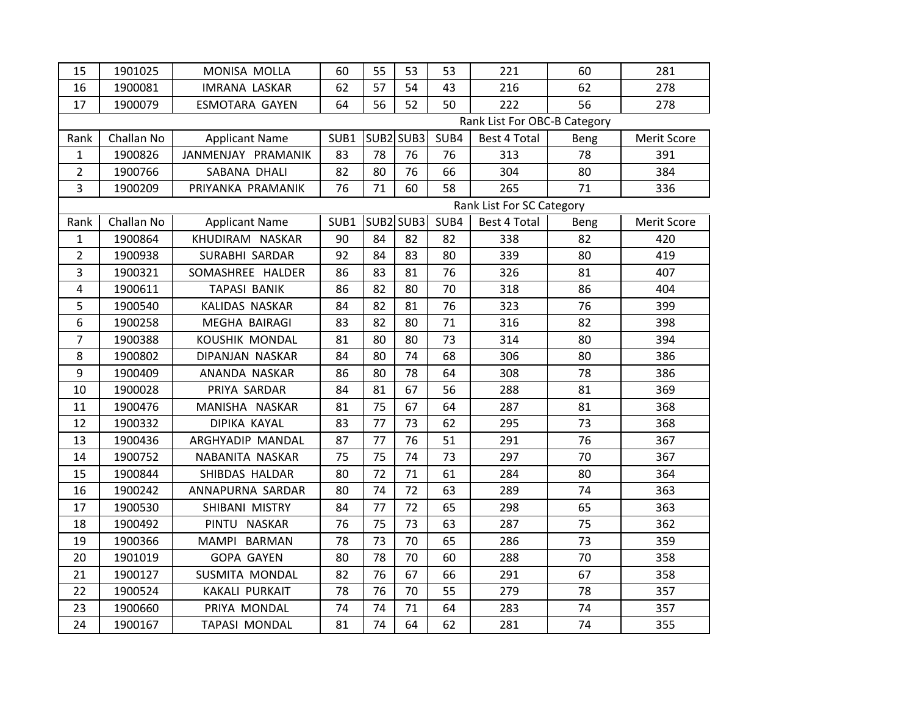| 15             | 1901025                   | MONISA MOLLA          | 60   | 55 | 53        | 53   | 221                          | 60   | 281         |  |  |  |
|----------------|---------------------------|-----------------------|------|----|-----------|------|------------------------------|------|-------------|--|--|--|
| 16             | 1900081                   | <b>IMRANA LASKAR</b>  | 62   | 57 | 54        | 43   | 216                          | 62   | 278         |  |  |  |
| 17             | 1900079                   | <b>ESMOTARA GAYEN</b> | 64   | 56 | 52        | 50   | 222                          | 56   | 278         |  |  |  |
|                |                           |                       |      |    |           |      | Rank List For OBC-B Category |      |             |  |  |  |
| Rank           | Challan No                | <b>Applicant Name</b> | SUB1 |    | SUB2 SUB3 | SUB4 | Best 4 Total                 | Beng | Merit Score |  |  |  |
| $\mathbf 1$    | 1900826                   | JANMENJAY PRAMANIK    | 83   | 78 | 76        | 76   | 313                          | 78   | 391         |  |  |  |
| $\overline{2}$ | 1900766                   | SABANA DHALI          | 82   | 80 | 76        | 66   | 304                          | 80   | 384         |  |  |  |
| 3              | 1900209                   | PRIYANKA PRAMANIK     | 76   | 71 | 60        | 58   | 265                          | 71   | 336         |  |  |  |
|                | Rank List For SC Category |                       |      |    |           |      |                              |      |             |  |  |  |
| Rank           | Challan No                | <b>Applicant Name</b> | SUB1 |    | SUB2 SUB3 | SUB4 | Best 4 Total                 | Beng | Merit Score |  |  |  |
| 1              | 1900864                   | KHUDIRAM NASKAR       | 90   | 84 | 82        | 82   | 338                          | 82   | 420         |  |  |  |
| $\overline{2}$ | 1900938                   | SURABHI SARDAR        | 92   | 84 | 83        | 80   | 339                          | 80   | 419         |  |  |  |
| 3              | 1900321                   | SOMASHREE HALDER      | 86   | 83 | 81        | 76   | 326                          | 81   | 407         |  |  |  |
| 4              | 1900611                   | <b>TAPASI BANIK</b>   | 86   | 82 | 80        | 70   | 318                          | 86   | 404         |  |  |  |
| 5              | 1900540                   | KALIDAS NASKAR        | 84   | 82 | 81        | 76   | 323                          | 76   | 399         |  |  |  |
| 6              | 1900258                   | MEGHA BAIRAGI         | 83   | 82 | 80        | 71   | 316                          | 82   | 398         |  |  |  |
| 7              | 1900388                   | KOUSHIK MONDAL        | 81   | 80 | 80        | 73   | 314                          | 80   | 394         |  |  |  |
| 8              | 1900802                   | DIPANJAN NASKAR       | 84   | 80 | 74        | 68   | 306                          | 80   | 386         |  |  |  |
| 9              | 1900409                   | ANANDA NASKAR         | 86   | 80 | 78        | 64   | 308                          | 78   | 386         |  |  |  |
| 10             | 1900028                   | PRIYA SARDAR          | 84   | 81 | 67        | 56   | 288                          | 81   | 369         |  |  |  |
| 11             | 1900476                   | MANISHA NASKAR        | 81   | 75 | 67        | 64   | 287                          | 81   | 368         |  |  |  |
| 12             | 1900332                   | DIPIKA KAYAL          | 83   | 77 | 73        | 62   | 295                          | 73   | 368         |  |  |  |
| 13             | 1900436                   | ARGHYADIP MANDAL      | 87   | 77 | 76        | 51   | 291                          | 76   | 367         |  |  |  |
| 14             | 1900752                   | NABANITA NASKAR       | 75   | 75 | 74        | 73   | 297                          | 70   | 367         |  |  |  |
| 15             | 1900844                   | SHIBDAS HALDAR        | 80   | 72 | 71        | 61   | 284                          | 80   | 364         |  |  |  |
| 16             | 1900242                   | ANNAPURNA SARDAR      | 80   | 74 | 72        | 63   | 289                          | 74   | 363         |  |  |  |
| 17             | 1900530                   | SHIBANI MISTRY        | 84   | 77 | 72        | 65   | 298                          | 65   | 363         |  |  |  |
| 18             | 1900492                   | PINTU NASKAR          | 76   | 75 | 73        | 63   | 287                          | 75   | 362         |  |  |  |
| 19             | 1900366                   | MAMPI BARMAN          | 78   | 73 | 70        | 65   | 286                          | 73   | 359         |  |  |  |
| 20             | 1901019                   | <b>GOPA GAYEN</b>     | 80   | 78 | 70        | 60   | 288                          | 70   | 358         |  |  |  |
| 21             | 1900127                   | SUSMITA MONDAL        | 82   | 76 | 67        | 66   | 291                          | 67   | 358         |  |  |  |
| 22             | 1900524                   | <b>KAKALI PURKAIT</b> | 78   | 76 | 70        | 55   | 279                          | 78   | 357         |  |  |  |
| 23             | 1900660                   | PRIYA MONDAL          | 74   | 74 | 71        | 64   | 283                          | 74   | 357         |  |  |  |
| 24             | 1900167                   | <b>TAPASI MONDAL</b>  | 81   | 74 | 64        | 62   | 281                          | 74   | 355         |  |  |  |
|                |                           |                       |      |    |           |      |                              |      |             |  |  |  |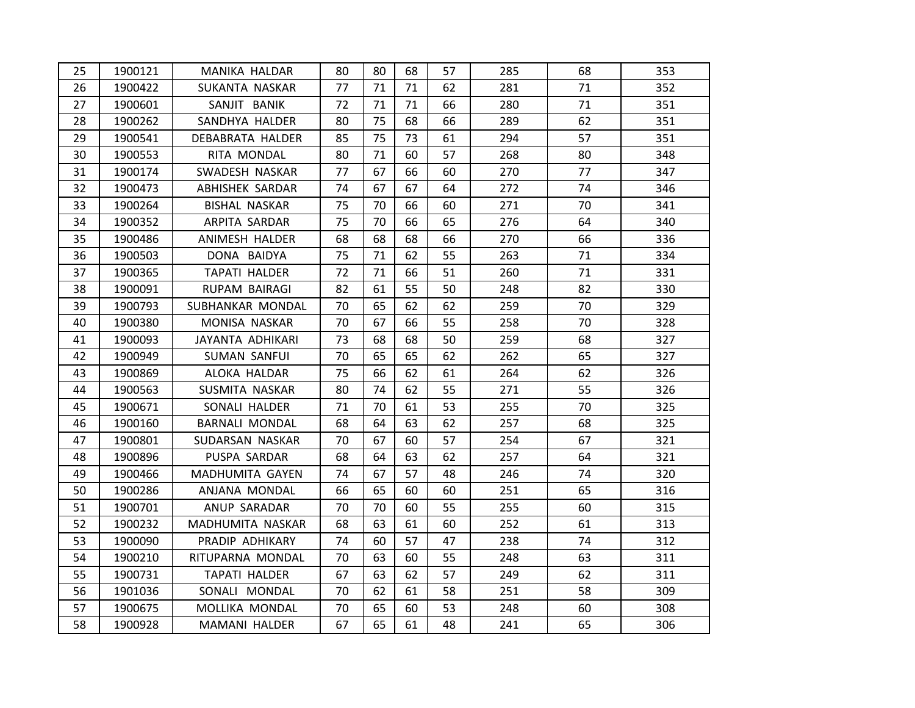| 25 | 1900121 | MANIKA HALDAR         | 80 | 80 | 68 | 57 | 285 | 68 | 353 |
|----|---------|-----------------------|----|----|----|----|-----|----|-----|
| 26 | 1900422 | SUKANTA NASKAR        | 77 | 71 | 71 | 62 | 281 | 71 | 352 |
| 27 | 1900601 | SANJIT BANIK          | 72 | 71 | 71 | 66 | 280 | 71 | 351 |
| 28 | 1900262 | SANDHYA HALDER        | 80 | 75 | 68 | 66 | 289 | 62 | 351 |
| 29 | 1900541 | DEBABRATA HALDER      | 85 | 75 | 73 | 61 | 294 | 57 | 351 |
| 30 | 1900553 | RITA MONDAL           | 80 | 71 | 60 | 57 | 268 | 80 | 348 |
| 31 | 1900174 | SWADESH NASKAR        | 77 | 67 | 66 | 60 | 270 | 77 | 347 |
| 32 | 1900473 | ABHISHEK SARDAR       | 74 | 67 | 67 | 64 | 272 | 74 | 346 |
| 33 | 1900264 | <b>BISHAL NASKAR</b>  | 75 | 70 | 66 | 60 | 271 | 70 | 341 |
| 34 | 1900352 | ARPITA SARDAR         | 75 | 70 | 66 | 65 | 276 | 64 | 340 |
| 35 | 1900486 | ANIMESH HALDER        | 68 | 68 | 68 | 66 | 270 | 66 | 336 |
| 36 | 1900503 | DONA BAIDYA           | 75 | 71 | 62 | 55 | 263 | 71 | 334 |
| 37 | 1900365 | <b>TAPATI HALDER</b>  | 72 | 71 | 66 | 51 | 260 | 71 | 331 |
| 38 | 1900091 | RUPAM BAIRAGI         | 82 | 61 | 55 | 50 | 248 | 82 | 330 |
| 39 | 1900793 | SUBHANKAR MONDAL      | 70 | 65 | 62 | 62 | 259 | 70 | 329 |
| 40 | 1900380 | MONISA NASKAR         | 70 | 67 | 66 | 55 | 258 | 70 | 328 |
| 41 | 1900093 | JAYANTA ADHIKARI      | 73 | 68 | 68 | 50 | 259 | 68 | 327 |
| 42 | 1900949 | <b>SUMAN SANFUI</b>   | 70 | 65 | 65 | 62 | 262 | 65 | 327 |
| 43 | 1900869 | ALOKA HALDAR          | 75 | 66 | 62 | 61 | 264 | 62 | 326 |
| 44 | 1900563 | SUSMITA NASKAR        | 80 | 74 | 62 | 55 | 271 | 55 | 326 |
| 45 | 1900671 | SONALI HALDER         | 71 | 70 | 61 | 53 | 255 | 70 | 325 |
| 46 | 1900160 | <b>BARNALI MONDAL</b> | 68 | 64 | 63 | 62 | 257 | 68 | 325 |
| 47 | 1900801 | SUDARSAN NASKAR       | 70 | 67 | 60 | 57 | 254 | 67 | 321 |
| 48 | 1900896 | PUSPA SARDAR          | 68 | 64 | 63 | 62 | 257 | 64 | 321 |
| 49 | 1900466 | MADHUMITA GAYEN       | 74 | 67 | 57 | 48 | 246 | 74 | 320 |
| 50 | 1900286 | ANJANA MONDAL         | 66 | 65 | 60 | 60 | 251 | 65 | 316 |
| 51 | 1900701 | ANUP SARADAR          | 70 | 70 | 60 | 55 | 255 | 60 | 315 |
| 52 | 1900232 | MADHUMITA NASKAR      | 68 | 63 | 61 | 60 | 252 | 61 | 313 |
| 53 | 1900090 | PRADIP ADHIKARY       | 74 | 60 | 57 | 47 | 238 | 74 | 312 |
| 54 | 1900210 | RITUPARNA MONDAL      | 70 | 63 | 60 | 55 | 248 | 63 | 311 |
| 55 | 1900731 | <b>TAPATI HALDER</b>  | 67 | 63 | 62 | 57 | 249 | 62 | 311 |
| 56 | 1901036 | SONALI MONDAL         | 70 | 62 | 61 | 58 | 251 | 58 | 309 |
| 57 | 1900675 | MOLLIKA MONDAL        | 70 | 65 | 60 | 53 | 248 | 60 | 308 |
| 58 | 1900928 | MAMANI HALDER         | 67 | 65 | 61 | 48 | 241 | 65 | 306 |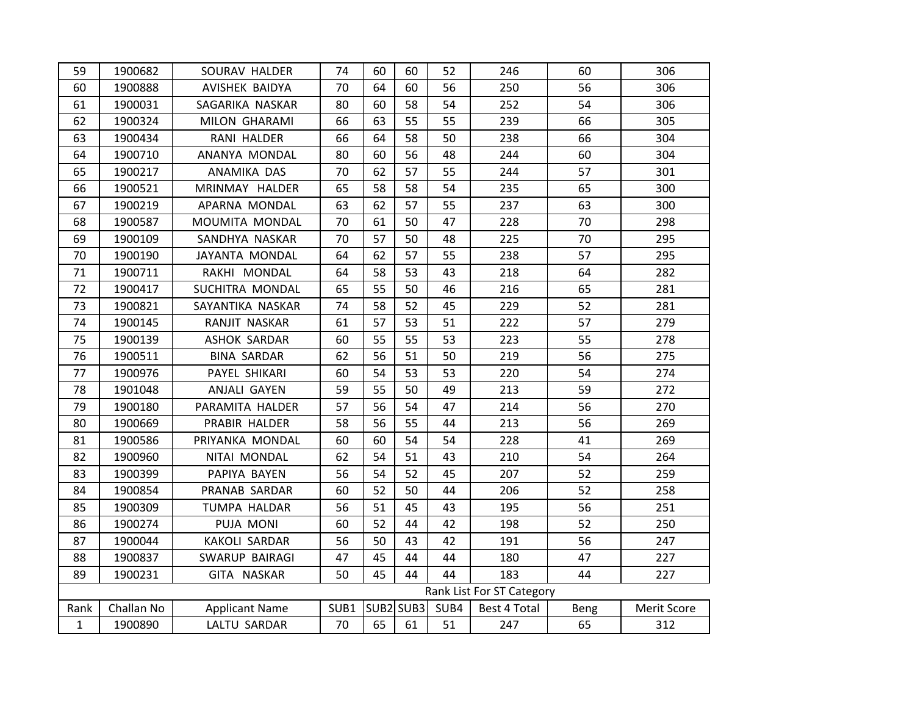| 59           | 1900682    | SOURAV HALDER         | 74   | 60 | 60        | 52   | 246                       | 60   | 306         |
|--------------|------------|-----------------------|------|----|-----------|------|---------------------------|------|-------------|
| 60           | 1900888    | AVISHEK BAIDYA        | 70   | 64 | 60        | 56   | 250                       | 56   | 306         |
| 61           | 1900031    | SAGARIKA NASKAR       | 80   | 60 | 58        | 54   | 252                       | 54   | 306         |
| 62           | 1900324    | MILON GHARAMI         | 66   | 63 | 55        | 55   | 239                       | 66   | 305         |
| 63           | 1900434    | RANI HALDER           | 66   | 64 | 58        | 50   | 238                       | 66   | 304         |
| 64           | 1900710    | ANANYA MONDAL         | 80   | 60 | 56        | 48   | 244                       | 60   | 304         |
| 65           | 1900217    | ANAMIKA DAS           | 70   | 62 | 57        | 55   | 244                       | 57   | 301         |
| 66           | 1900521    | MRINMAY HALDER        | 65   | 58 | 58        | 54   | 235                       | 65   | 300         |
| 67           | 1900219    | APARNA MONDAL         | 63   | 62 | 57        | 55   | 237                       | 63   | 300         |
| 68           | 1900587    | MOUMITA MONDAL        | 70   | 61 | 50        | 47   | 228                       | 70   | 298         |
| 69           | 1900109    | SANDHYA NASKAR        | 70   | 57 | 50        | 48   | 225                       | 70   | 295         |
| 70           | 1900190    | JAYANTA MONDAL        | 64   | 62 | 57        | 55   | 238                       | 57   | 295         |
| 71           | 1900711    | RAKHI MONDAL          | 64   | 58 | 53        | 43   | 218                       | 64   | 282         |
| 72           | 1900417    | SUCHITRA MONDAL       | 65   | 55 | 50        | 46   | 216                       | 65   | 281         |
| 73           | 1900821    | SAYANTIKA NASKAR      | 74   | 58 | 52        | 45   | 229                       | 52   | 281         |
| 74           | 1900145    | RANJIT NASKAR         | 61   | 57 | 53        | 51   | 222                       | 57   | 279         |
| 75           | 1900139    | ASHOK SARDAR          | 60   | 55 | 55        | 53   | 223                       | 55   | 278         |
| 76           | 1900511    | <b>BINA SARDAR</b>    | 62   | 56 | 51        | 50   | 219                       | 56   | 275         |
| 77           | 1900976    | PAYEL SHIKARI         | 60   | 54 | 53        | 53   | 220                       | 54   | 274         |
| 78           | 1901048    | <b>ANJALI GAYEN</b>   | 59   | 55 | 50        | 49   | 213                       | 59   | 272         |
| 79           | 1900180    | PARAMITA HALDER       | 57   | 56 | 54        | 47   | 214                       | 56   | 270         |
| 80           | 1900669    | PRABIR HALDER         | 58   | 56 | 55        | 44   | 213                       | 56   | 269         |
| 81           | 1900586    | PRIYANKA MONDAL       | 60   | 60 | 54        | 54   | 228                       | 41   | 269         |
| 82           | 1900960    | NITAI MONDAL          | 62   | 54 | 51        | 43   | 210                       | 54   | 264         |
| 83           | 1900399    | PAPIYA BAYEN          | 56   | 54 | 52        | 45   | 207                       | 52   | 259         |
| 84           | 1900854    | PRANAB SARDAR         | 60   | 52 | 50        | 44   | 206                       | 52   | 258         |
| 85           | 1900309    | TUMPA HALDAR          | 56   | 51 | 45        | 43   | 195                       | 56   | 251         |
| 86           | 1900274    | PUJA MONI             | 60   | 52 | 44        | 42   | 198                       | 52   | 250         |
| 87           | 1900044    | KAKOLI SARDAR         | 56   | 50 | 43        | 42   | 191                       | 56   | 247         |
| 88           | 1900837    | SWARUP BAIRAGI        | 47   | 45 | 44        | 44   | 180                       | 47   | 227         |
| 89           | 1900231    | GITA NASKAR           | 50   | 45 | 44        | 44   | 183                       | 44   | 227         |
|              |            |                       |      |    |           |      | Rank List For ST Category |      |             |
| Rank         | Challan No | <b>Applicant Name</b> | SUB1 |    | SUB2 SUB3 | SUB4 | Best 4 Total              | Beng | Merit Score |
| $\mathbf{1}$ | 1900890    | LALTU SARDAR          | 70   | 65 | 61        | 51   | 247                       | 65   | 312         |